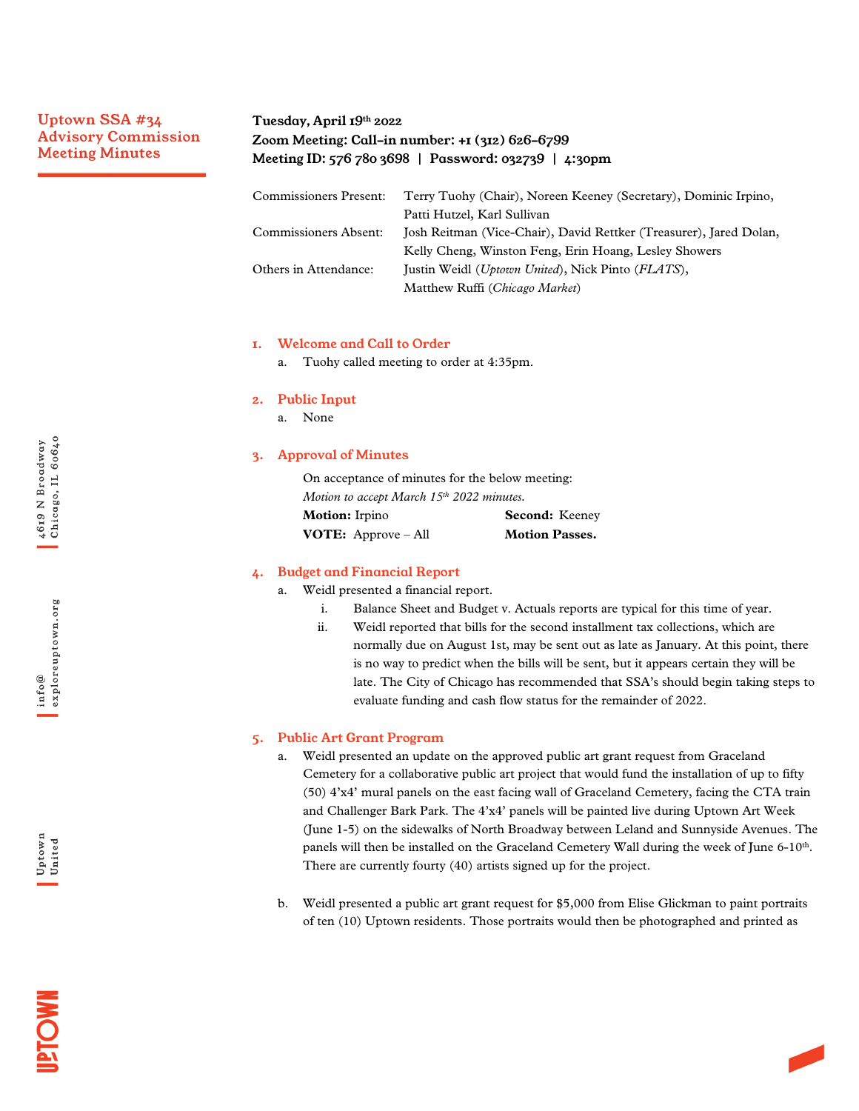# Uptown SSA #34 Advisory Commission Meeting Minutes

# Tuesday, April 19th 2022 Zoom Meeting: Call-in number: +1 (312) 626-6799 Meeting ID: 576 780 3698 | Password: 032739 | 4:30pm

| <b>Commissioners Present:</b> | Terry Tuohy (Chair), Noreen Keeney (Secretary), Dominic Irpino,     |
|-------------------------------|---------------------------------------------------------------------|
|                               | Patti Hutzel, Karl Sullivan                                         |
| Commissioners Absent:         | Josh Reitman (Vice-Chair), David Rettker (Treasurer), Jared Dolan,  |
|                               | Kelly Cheng, Winston Feng, Erin Hoang, Lesley Showers               |
| Others in Attendance:         | Justin Weidl ( <i>Uptown United</i> ), Nick Pinto ( <i>FLATS</i> ), |
|                               | Matthew Ruffi (Chicago Market)                                      |

#### 1. Welcome and Call to Order

a. Tuohy called meeting to order at 4:35pm.

#### 2. Public Input

a. None

### 3. Approval of Minutes

On acceptance of minutes for the below meeting: *Motion to accept March 15th 2022 minutes.* **Motion:** Irpino **Second:** Keeney **VOTE:** Approve – All **Motion Passes.** 

### 4. Budget and Financial Report

- a. Weidl presented a financial report.
	- i. Balance Sheet and Budget v. Actuals reports are typical for this time of year.
	- ii. Weidl reported that bills for the second installment tax collections, which are normally due on August 1st, may be sent out as late as January. At this point, there is no way to predict when the bills will be sent, but it appears certain they will be late. The City of Chicago has recommended that SSA's should begin taking steps to evaluate funding and cash flow status for the remainder of 2022.

#### 5. Public Art Grant Program

- a. Weidl presented an update on the approved public art grant request from Graceland Cemetery for a collaborative public art project that would fund the installation of up to fifty (50) 4'x4' mural panels on the east facing wall of Graceland Cemetery, facing the CTA train and Challenger Bark Park. The 4'x4' panels will be painted live during Uptown Art Week (June 1-5) on the sidewalks of North Broadway between Leland and Sunnyside Avenues. The panels will then be installed on the Graceland Cemetery Wall during the week of June  $6-10<sup>th</sup>$ . There are currently fourty (40) artists signed up for the project.
- b. Weidl presented a public art grant request for \$5,000 from Elise Glickman to paint portraits of ten (10) Uptown residents. Those portraits would then be photographed and printed as